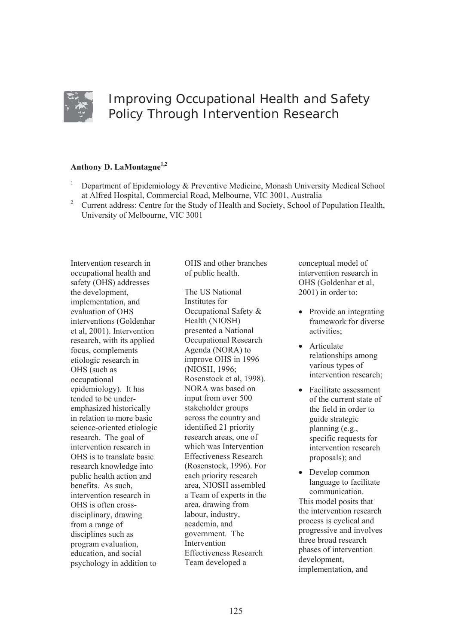

# Improving Occupational Health and Safety Policy Through Intervention Research

# **Anthony D. LaMontagne1,2**

- 1 Department of Epidemiology & Preventive Medicine, Monash University Medical School at Alfred Hospital, Commercial Road, Melbourne, VIC 3001, Australia
- <sup>2</sup> Current address: Centre for the Study of Health and Society, School of Population Health, University of Melbourne, VIC 3001

Intervention research in occupational health and safety (OHS) addresses the development, implementation, and evaluation of OHS interventions (Goldenhar et al, 2001). Intervention research, with its applied focus, complements etiologic research in OHS (such as occupational epidemiology). It has tended to be underemphasized historically in relation to more basic science-oriented etiologic research. The goal of intervention research in OHS is to translate basic research knowledge into public health action and benefits. As such, intervention research in OHS is often crossdisciplinary, drawing from a range of disciplines such as program evaluation, education, and social psychology in addition to

OHS and other branches of public health.

The US National Institutes for Occupational Safety & Health (NIOSH) presented a National Occupational Research Agenda (NORA) to improve OHS in 1996 (NIOSH, 1996; Rosenstock et al, 1998). NORA was based on input from over 500 stakeholder groups across the country and identified 21 priority research areas, one of which was Intervention Effectiveness Research (Rosenstock, 1996). For each priority research area, NIOSH assembled a Team of experts in the area, drawing from labour, industry, academia, and government. The **Intervention** Effectiveness Research Team developed a

conceptual model of intervention research in OHS (Goldenhar et al, 2001) in order to:

- $\bullet$  Provide an integrating framework for diverse activities;
- Articulate relationships among various types of intervention research;
- $\bullet$  Facilitate assessment of the current state of the field in order to guide strategic planning (e.g., specific requests for intervention research proposals); and
- Develop common language to facilitate communication. This model posits that the intervention research process is cyclical and progressive and involves three broad research phases of intervention development, implementation, and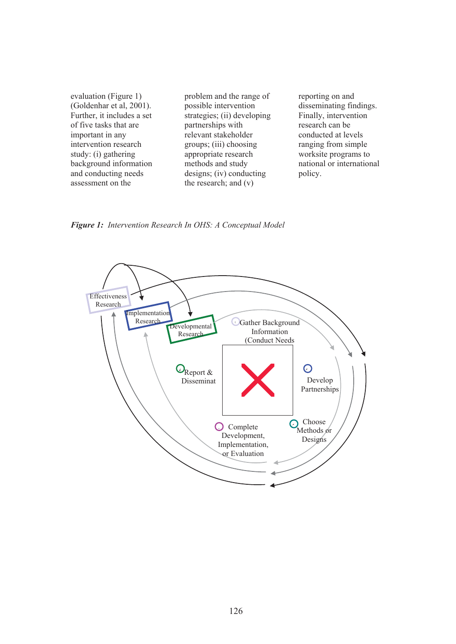| evaluation (Figure 1)<br>(Goldenhar et al, 2001). | problem and the range of<br>possible intervention | reporting on and<br>disseminating findings. |
|---------------------------------------------------|---------------------------------------------------|---------------------------------------------|
| Further, it includes a set                        | strategies; (ii) developing                       | Finally, intervention                       |
| of five tasks that are                            | partnerships with                                 | research can be                             |
| important in any                                  | relevant stakeholder                              | conducted at levels                         |
| intervention research                             | groups; (iii) choosing                            | ranging from simple                         |
| study: (i) gathering                              | appropriate research                              | worksite programs to                        |
| background information                            | methods and study                                 | national or international                   |
| and conducting needs                              | $designs$ ; (iv) conducting                       | policy.                                     |
| assessment on the                                 | the research; and $(v)$                           |                                             |

*Figure 1: Intervention Research In OHS: A Conceptual Model* 

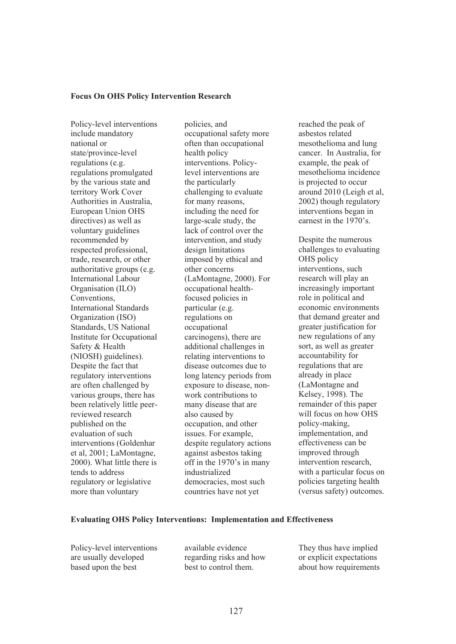#### **Focus On OHS Policy Intervention Research**

Policy-level interventions include mandatory national or state/province-level regulations (e.g. regulations promulgated by the various state and territory Work Cover Authorities in Australia, European Union OHS directives) as well as voluntary guidelines recommended by respected professional, trade, research, or other authoritative groups (e.g. International Labour Organisation (ILO) Conventions, International Standards Organization (ISO) Standards, US National Institute for Occupational Safety & Health (NIOSH) guidelines). Despite the fact that regulatory interventions are often challenged by various groups, there has been relatively little peerreviewed research published on the evaluation of such interventions (Goldenhar et al, 2001; LaMontagne, 2000). What little there is tends to address regulatory or legislative more than voluntary

policies, and occupational safety more often than occupational health policy interventions. Policylevel interventions are the particularly challenging to evaluate for many reasons, including the need for large-scale study, the lack of control over the intervention, and study design limitations imposed by ethical and other concerns (LaMontagne, 2000). For occupational healthfocused policies in particular (e.g. regulations on occupational carcinogens), there are additional challenges in relating interventions to disease outcomes due to long latency periods from exposure to disease, nonwork contributions to many disease that are also caused by occupation, and other issues. For example, despite regulatory actions against asbestos taking off in the 1970's in many industrialized democracies, most such countries have not yet

reached the peak of asbestos related mesothelioma and lung cancer. In Australia, for example, the peak of mesothelioma incidence is projected to occur around 2010 (Leigh et al, 2002) though regulatory interventions began in earnest in the 1970's.

Despite the numerous challenges to evaluating OHS policy interventions, such research will play an increasingly important role in political and economic environments that demand greater and greater justification for new regulations of any sort, as well as greater accountability for regulations that are already in place (LaMontagne and Kelsey, 1998). The remainder of this paper will focus on how OHS policy-making, implementation, and effectiveness can be improved through intervention research, with a particular focus on policies targeting health (versus safety) outcomes.

# **Evaluating OHS Policy Interventions: Implementation and Effectiveness**

Policy-level interventions are usually developed based upon the best

available evidence regarding risks and how best to control them.

They thus have implied or explicit expectations about how requirements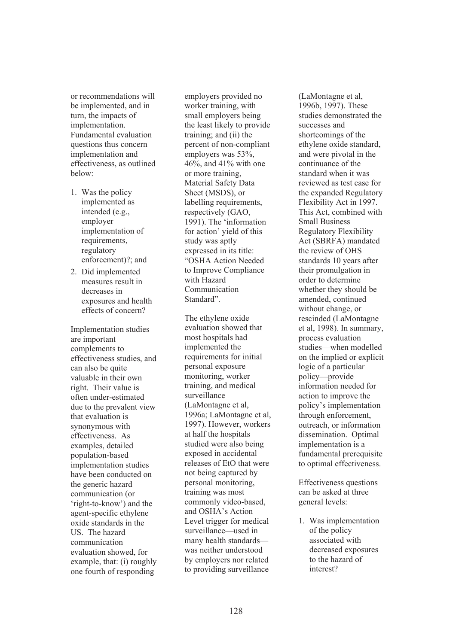or recommendations will be implemented, and in turn, the impacts of implementation. Fundamental evaluation questions thus concern implementation and effectiveness, as outlined below:

- 1. Was the policy implemented as intended (e.g., employer implementation of requirements, regulatory enforcement)?; and
- 2. Did implemented measures result in decreases in exposures and health effects of concern?

Implementation studies are important complements to effectiveness studies, and can also be quite valuable in their own right. Their value is often under-estimated due to the prevalent view that evaluation is synonymous with effectiveness. As examples, detailed population-based implementation studies have been conducted on the generic hazard communication (or 'right-to-know') and the agent-specific ethylene oxide standards in the US. The hazard communication evaluation showed, for example, that: (i) roughly one fourth of responding

employers provided no worker training, with small employers being the least likely to provide training; and (ii) the percent of non-compliant employers was 53%, 46%, and 41% with one or more training, Material Safety Data Sheet (MSDS), or labelling requirements, respectively (GAO, 1991). The 'information for action' yield of this study was aptly expressed in its title: "OSHA Action Needed to Improve Compliance with Hazard Communication Standard".

The ethylene oxide evaluation showed that most hospitals had implemented the requirements for initial personal exposure monitoring, worker training, and medical surveillance (LaMontagne et al, 1996a; LaMontagne et al, 1997). However, workers at half the hospitals studied were also being exposed in accidental releases of EtO that were not being captured by personal monitoring, training was most commonly video-based, and OSHA's Action Level trigger for medical surveillance—used in many health standards was neither understood by employers nor related to providing surveillance

(LaMontagne et al, 1996b, 1997). These studies demonstrated the successes and shortcomings of the ethylene oxide standard, and were pivotal in the continuance of the standard when it was reviewed as test case for the expanded Regulatory Flexibility Act in 1997. This Act, combined with Small Business Regulatory Flexibility Act (SBRFA) mandated the review of OHS standards 10 years after their promulgation in order to determine whether they should be amended, continued without change, or rescinded (LaMontagne et al, 1998). In summary, process evaluation studies—when modelled on the implied or explicit logic of a particular policy—provide information needed for action to improve the policy's implementation through enforcement, outreach, or information dissemination. Optimal implementation is a fundamental prerequisite to optimal effectiveness.

Effectiveness questions can be asked at three general levels:

1. Was implementation of the policy associated with decreased exposures to the hazard of interest?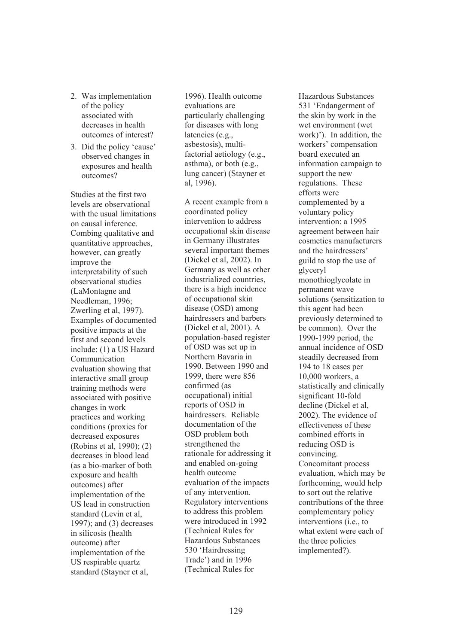- 2. Was implementation of the policy associated with decreases in health outcomes of interest?
- 3. Did the policy 'cause' observed changes in exposures and health outcomes?

Studies at the first two levels are observational with the usual limitations on causal inference. Combing qualitative and quantitative approaches, however, can greatly improve the interpretability of such observational studies (LaMontagne and Needleman, 1996; Zwerling et al, 1997). Examples of documented positive impacts at the first and second levels include: (1) a US Hazard Communication evaluation showing that interactive small group training methods were associated with positive changes in work practices and working conditions (proxies for decreased exposures (Robins et al, 1990); (2) decreases in blood lead (as a bio-marker of both exposure and health outcomes) after implementation of the US lead in construction standard (Levin et al, 1997); and (3) decreases in silicosis (health outcome) after implementation of the US respirable quartz standard (Stayner et al,

1996). Health outcome evaluations are particularly challenging for diseases with long latencies (e.g., asbestosis), multifactorial aetiology (e.g., asthma), or both (e.g., lung cancer) (Stayner et al, 1996).

A recent example from a coordinated policy intervention to address occupational skin disease in Germany illustrates several important themes (Dickel et al, 2002). In Germany as well as other industrialized countries, there is a high incidence of occupational skin disease (OSD) among hairdressers and barbers (Dickel et al, 2001). A population-based register of OSD was set up in Northern Bavaria in 1990. Between 1990 and 1999, there were 856 confirmed (as occupational) initial reports of OSD in hairdressers. Reliable documentation of the OSD problem both strengthened the rationale for addressing it and enabled on-going health outcome evaluation of the impacts of any intervention. Regulatory interventions to address this problem were introduced in 1992 (Technical Rules for Hazardous Substances 530 'Hairdressing Trade') and in 1996 (Technical Rules for

Hazardous Substances 531 'Endangerment of the skin by work in the wet environment (wet work)'). In addition, the workers' compensation board executed an information campaign to support the new regulations. These efforts were complemented by a voluntary policy intervention: a 1995 agreement between hair cosmetics manufacturers and the hairdressers' guild to stop the use of glyceryl monothioglycolate in permanent wave solutions (sensitization to this agent had been previously determined to be common). Over the 1990-1999 period, the annual incidence of OSD steadily decreased from 194 to 18 cases per 10,000 workers, a statistically and clinically significant 10-fold decline (Dickel et al, 2002). The evidence of effectiveness of these combined efforts in reducing OSD is convincing. Concomitant process evaluation, which may be forthcoming, would help to sort out the relative contributions of the three complementary policy interventions (i.e., to what extent were each of the three policies implemented?).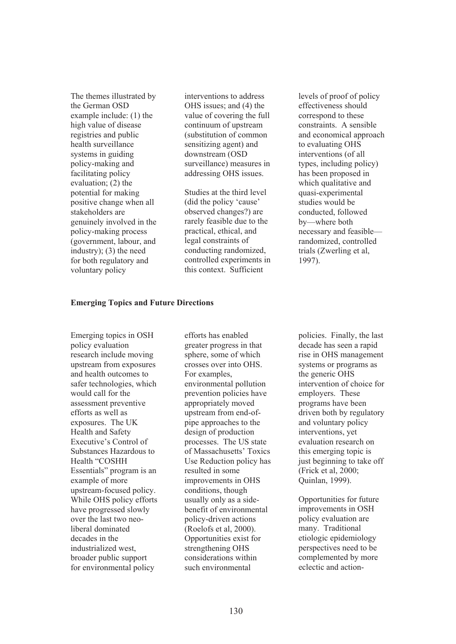The themes illustrated by the German OSD example include: (1) the high value of disease registries and public health surveillance systems in guiding policy-making and facilitating policy evaluation; (2) the potential for making positive change when all stakeholders are genuinely involved in the policy-making process (government, labour, and industry); (3) the need for both regulatory and voluntary policy

interventions to address OHS issues; and (4) the value of covering the full continuum of upstream (substitution of common sensitizing agent) and downstream (OSD surveillance) measures in addressing OHS issues.

Studies at the third level (did the policy 'cause' observed changes?) are rarely feasible due to the practical, ethical, and legal constraints of conducting randomized, controlled experiments in this context. Sufficient

levels of proof of policy effectiveness should correspond to these constraints. A sensible and economical approach to evaluating OHS interventions (of all types, including policy) has been proposed in which qualitative and quasi-experimental studies would be conducted, followed by—where both necessary and feasible randomized, controlled trials (Zwerling et al, 1997).

#### **Emerging Topics and Future Directions**

Emerging topics in OSH policy evaluation research include moving upstream from exposures and health outcomes to safer technologies, which would call for the assessment preventive efforts as well as exposures. The UK Health and Safety Executive's Control of Substances Hazardous to Health "COSHH Essentials" program is an example of more upstream-focused policy. While OHS policy efforts have progressed slowly over the last two neoliberal dominated decades in the industrialized west, broader public support for environmental policy

efforts has enabled greater progress in that sphere, some of which crosses over into OHS. For examples, environmental pollution prevention policies have appropriately moved upstream from end-ofpipe approaches to the design of production processes. The US state of Massachusetts' Toxics Use Reduction policy has resulted in some improvements in OHS conditions, though usually only as a sidebenefit of environmental policy-driven actions (Roelofs et al, 2000). Opportunities exist for strengthening OHS considerations within such environmental

policies. Finally, the last decade has seen a rapid rise in OHS management systems or programs as the generic OHS intervention of choice for employers. These programs have been driven both by regulatory and voluntary policy interventions, yet evaluation research on this emerging topic is just beginning to take off (Frick et al, 2000; Quinlan, 1999).

Opportunities for future improvements in OSH policy evaluation are many. Traditional etiologic epidemiology perspectives need to be complemented by more eclectic and action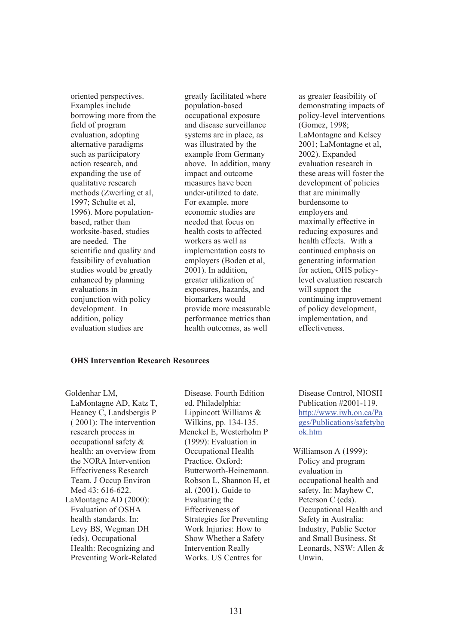oriented perspectives. Examples include borrowing more from the field of program evaluation, adopting alternative paradigms such as participatory action research, and expanding the use of qualitative research methods (Zwerling et al, 1997; Schulte et al, 1996). More populationbased, rather than worksite-based, studies are needed. The scientific and quality and feasibility of evaluation studies would be greatly enhanced by planning evaluations in conjunction with policy development. In addition, policy evaluation studies are

greatly facilitated where population-based occupational exposure and disease surveillance systems are in place, as was illustrated by the example from Germany above. In addition, many impact and outcome measures have been under-utilized to date. For example, more economic studies are needed that focus on health costs to affected workers as well as implementation costs to employers (Boden et al, 2001). In addition, greater utilization of exposures, hazards, and biomarkers would provide more measurable performance metrics than health outcomes, as well

as greater feasibility of demonstrating impacts of policy-level interventions (Gomez, 1998; LaMontagne and Kelsey 2001; LaMontagne et al, 2002). Expanded evaluation research in these areas will foster the development of policies that are minimally burdensome to employers and maximally effective in reducing exposures and health effects. With a continued emphasis on generating information for action, OHS policylevel evaluation research will support the continuing improvement of policy development, implementation, and effectiveness.

### **OHS Intervention Research Resources**

Goldenhar LM, LaMontagne AD, Katz T, Heaney C, Landsbergis P ( 2001): The intervention research process in occupational safety & health: an overview from the NORA Intervention Effectiveness Research Team. J Occup Environ Med 43: 616-622. LaMontagne AD (2000): Evaluation of OSHA health standards. In: Levy BS, Wegman DH (eds). Occupational Health: Recognizing and Preventing Work-Related

Disease. Fourth Edition ed. Philadelphia: Lippincott Williams & Wilkins, pp. 134-135. Menckel E, Westerholm P (1999): Evaluation in Occupational Health Practice. Oxford: Butterworth-Heinemann. Robson L, Shannon H, et al. (2001). Guide to Evaluating the Effectiveness of Strategies for Preventing Work Injuries: How to Show Whether a Safety Intervention Really Works. US Centres for

Disease Control, NIOSH Publication #2001-119. http://www.iwh.on.ca/Pa ges/Publications/safetybo ok.htm

Williamson A (1999): Policy and program evaluation in occupational health and safety. In: Mayhew C, Peterson C (eds). Occupational Health and Safety in Australia: Industry, Public Sector and Small Business. St Leonards, NSW: Allen & Unwin.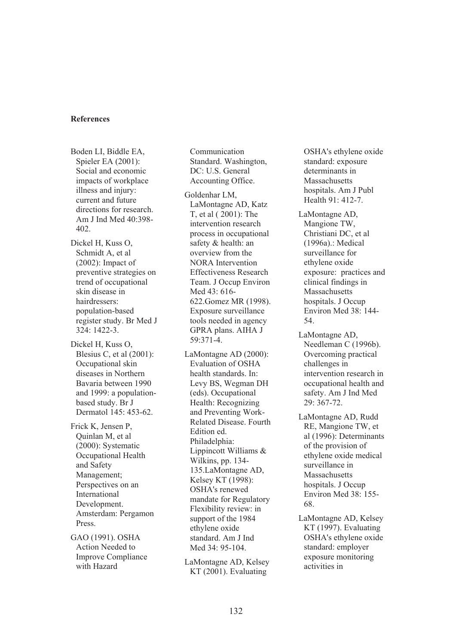#### **References**

Boden LI, Biddle EA, Spieler EA (2001): Social and economic impacts of workplace illness and injury: current and future directions for research. Am J Ind Med 40:398- 402.

Dickel H, Kuss O, Schmidt A, et al (2002): Impact of preventive strategies on trend of occupational skin disease in hairdressers: population-based register study. Br Med J 324: 1422-3.

Dickel H, Kuss O, Blesius C, et al (2001): Occupational skin diseases in Northern Bavaria between 1990 and 1999: a populationbased study. Br J Dermatol 145: 453-62.

Frick K, Jensen P, Quinlan M, et al (2000): Systematic Occupational Health and Safety Management; Perspectives on an International Development. Amsterdam: Pergamon Press.

GAO (1991). OSHA Action Needed to Improve Compliance with Hazard

Communication Standard. Washington, DC: U.S. General Accounting Office.

Goldenhar LM, LaMontagne AD, Katz T, et al ( 2001): The intervention research process in occupational safety & health: an overview from the NORA Intervention Effectiveness Research Team. J Occup Environ Med 43: 616- 622.Gomez MR (1998). Exposure surveillance tools needed in agency GPRA plans. AIHA J 59:371-4.

LaMontagne AD (2000): Evaluation of OSHA health standards. In: Levy BS, Wegman DH (eds). Occupational Health: Recognizing and Preventing Work-Related Disease. Fourth Edition ed. Philadelphia: Lippincott Williams & Wilkins, pp. 134- 135.LaMontagne AD, Kelsey KT (1998): OSHA's renewed mandate for Regulatory Flexibility review: in support of the 1984 ethylene oxide standard. Am J Ind Med 34: 95-104.

LaMontagne AD, Kelsey KT (2001). Evaluating

OSHA's ethylene oxide standard: exposure determinants in Massachusetts hospitals. Am J Publ Health 91: 412-7.

LaMontagne AD, Mangione TW, Christiani DC, et al (1996a).: Medical surveillance for ethylene oxide exposure: practices and clinical findings in Massachusetts hospitals. J Occup Environ Med 38: 144- 54.

LaMontagne AD, Needleman C (1996b). Overcoming practical challenges in intervention research in occupational health and safety. Am J Ind Med 29: 367-72.

LaMontagne AD, Rudd RE, Mangione TW, et al (1996): Determinants of the provision of ethylene oxide medical surveillance in **Massachusetts** hospitals. J Occup Environ Med 38: 155- 68.

LaMontagne AD, Kelsey KT (1997). Evaluating OSHA's ethylene oxide standard: employer exposure monitoring activities in